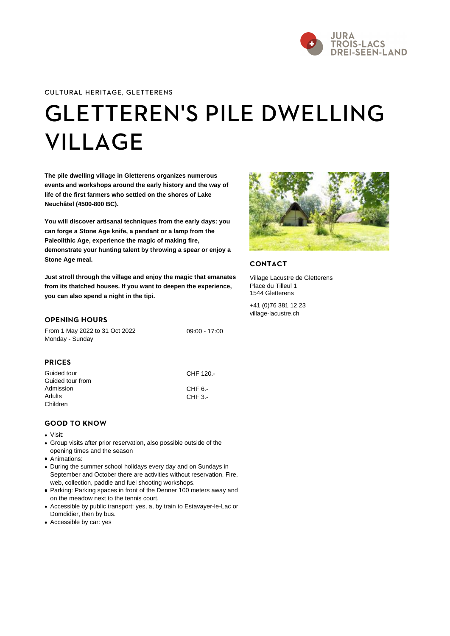# [GLETTEREN'S PILE](https://www.j3l.ch/en/P7513) DV [VILLA](https://www.j3l.ch/en/P7513)GE

The pile dwelling village in Gletterens organizes numerous events and workshops around the early history and the way of life of the first farmers who settled on the shores of Lake Neuchâtel (4500-800 BC).

You will discover artisanal techniques from the early days: you can forge a Stone Age knife, a pendant or a lamp from the Paleolithic Age, experience the magic of making fire, demonstrate your hunting talent by throwing a spear or enjoy a Stone Age meal.

Just stroll through the village and enjoy the magic that emanates from its thatched houses. If you want to deepen the experience, you can also spend a night in the tipi.

### OPENING HOURS

From 1 May 2022 to 31 Oct 2022 Monday - Sunday 09:00 - 17:00

## PRICES

| CHF 120.- |
|-----------|
|           |
| $CHF_3$ . |
|           |
|           |

### GOOD TO KNOW

- Visit:
- Group visits after prior reservation, also possible outside of the opening times and the season
- Animations:

During the summer school holidays every day and on Sundays in September and October there are activities without reservation. Fire, web, collection, paddle and fuel shooting workshops.

- Parking: Parking spaces in front of the Denner 100 meters away and on the meadow next to the tennis court.
- Accessible by public transport: yes, a, by train to Estavayer-le-Lac or Domdidier, then by bus.
- Accessible by car: yes

## CONTACT

Village Lacustre de Gletterens Place du Tilleul 1 1544 Gletterens

+41 (0)76 381 12 23 [village-lacustre.ch](http://www.village-lacustre.ch)